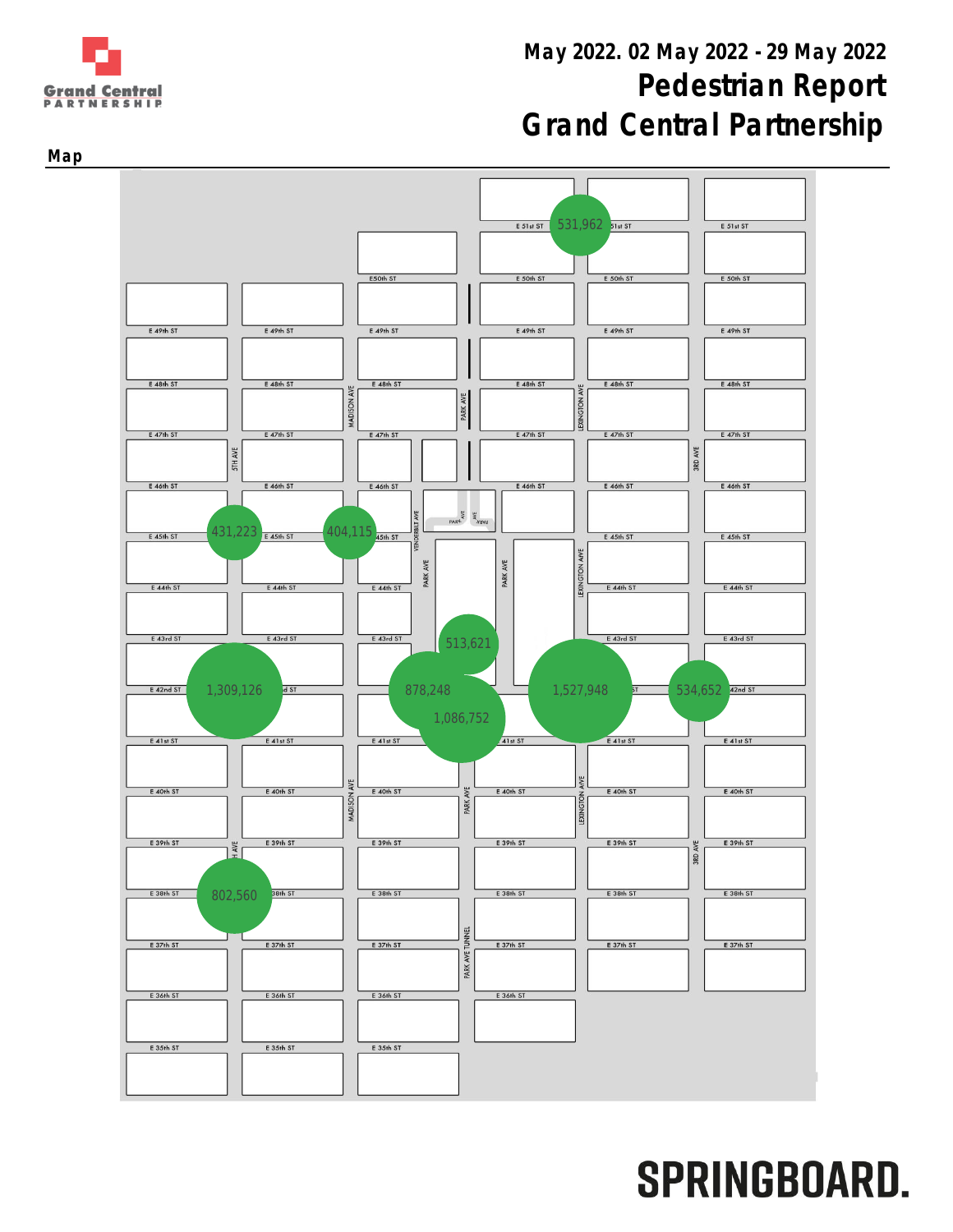# May 2022. 02 May 2022 - 29 May 2022 Pedestrian Report Grand Central Partnership





Map

**Grand Central PARTNERSHIP**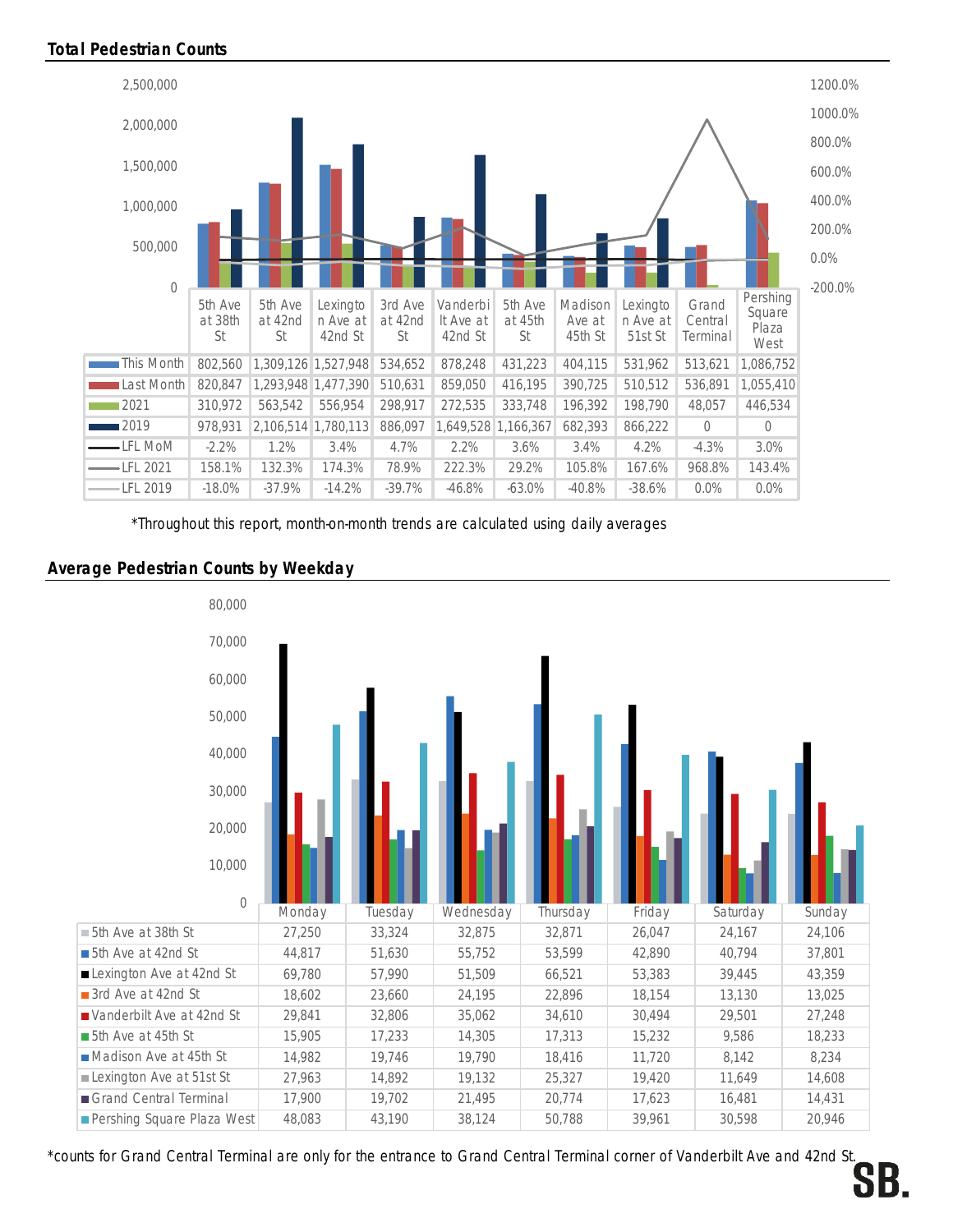

\*Throughout this report, month-on-month trends are calculated using daily averages

### Average Pedestrian Counts by Weekday



\*counts for Grand Central Terminal are only for the entrance to Grand Central Terminal corner of Vanderbilt Ave and 42nd St.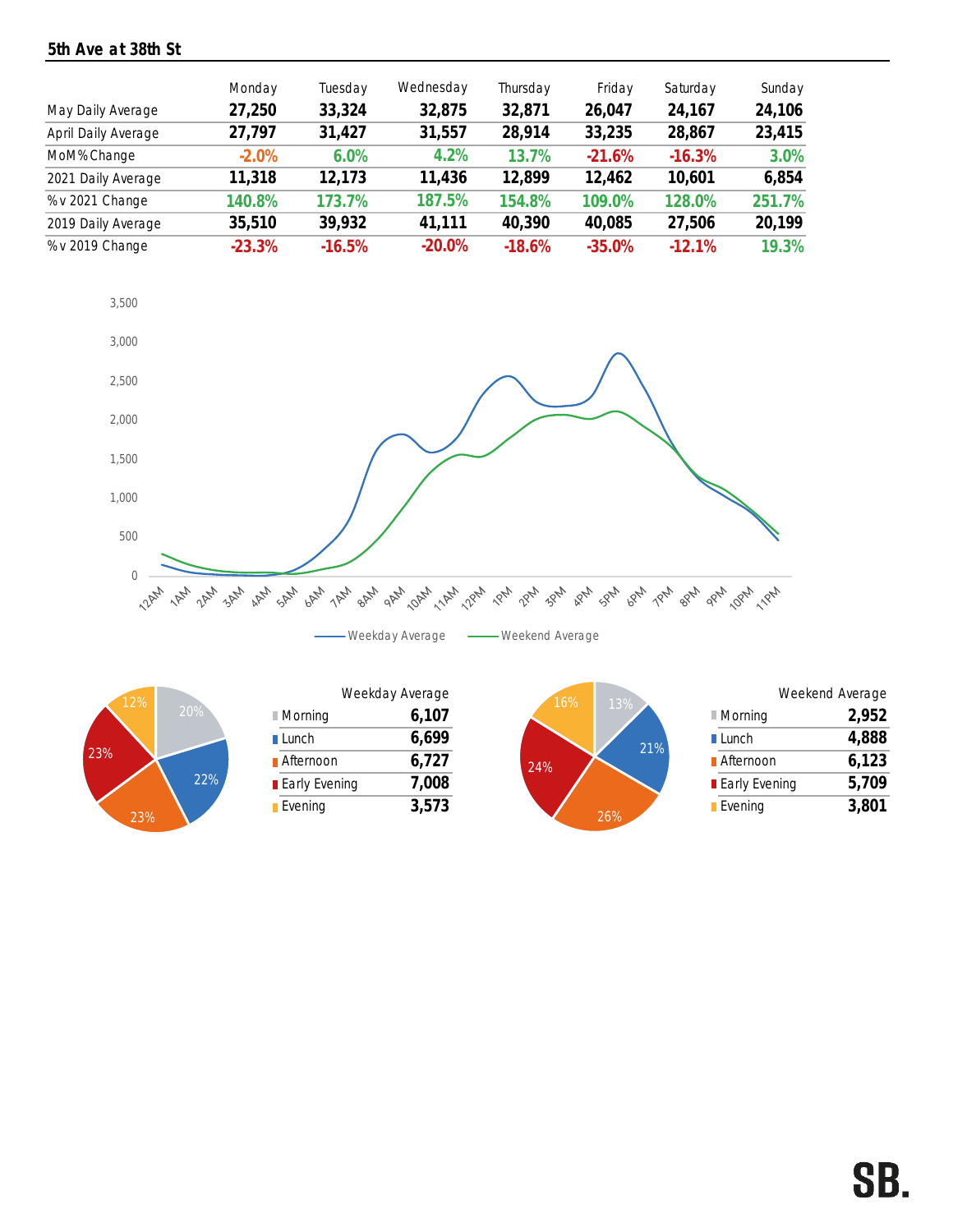## 5th Ave at 38th St

|                     | Monday   | Tuesday  | Wednesday | Thursday | Friday   | Saturday  | Sunday |
|---------------------|----------|----------|-----------|----------|----------|-----------|--------|
| May Daily Average   | 27,250   | 33,324   | 32,875    | 32,871   | 26,047   | 24,167    | 24,106 |
| April Daily Average | 27,797   | 31,427   | 31,557    | 28,914   | 33,235   | 28,867    | 23,415 |
| MoM% Change         | $-2.0%$  | 6.0%     | 4.2%      | 13.7%    | $-21.6%$ | $-16.3%$  | 3.0%   |
| 2021 Daily Average  | 11,318   | 12,173   | 11,436    | 12,899   | 12,462   | 10,601    | 6,854  |
| % v 2021 Change     | 140.8%   | 173.7%   | 187.5%    | 154.8%   | 109.0%   | 128.0%    | 251.7% |
| 2019 Daily Average  | 35,510   | 39,932   | 41,111    | 40,390   | 40,085   | 27,506    | 20,199 |
| % v 2019 Change     | $-23.3%$ | $-16.5%$ | $-20.0\%$ | $-18.6%$ | $-35.0%$ | $-12.1\%$ | 19.3%  |





| 12%   |     |                        | Weekday Average | 16% | 13%  |
|-------|-----|------------------------|-----------------|-----|------|
|       | 20% | $\blacksquare$ Morning | 6,107           |     |      |
|       |     | $\blacksquare$ Lunch   | 6,699           |     |      |
|       |     | <b>■</b> Afternoon     | 6,727           | 24% |      |
|       | 22% | <b>Early Evening</b>   | 7,008           |     |      |
| 0.001 |     | Evening                | 3,573           |     | 0101 |



|                 | Weekend Average |       |
|-----------------|-----------------|-------|
| ■ Morning       |                 | 2,952 |
| <b>■ Lunch</b>  |                 | 4,888 |
| ■ Afternoon     |                 | 6,123 |
| ■ Early Evening |                 | 5,709 |
| <b>Evening</b>  |                 | 3,801 |
|                 |                 |       |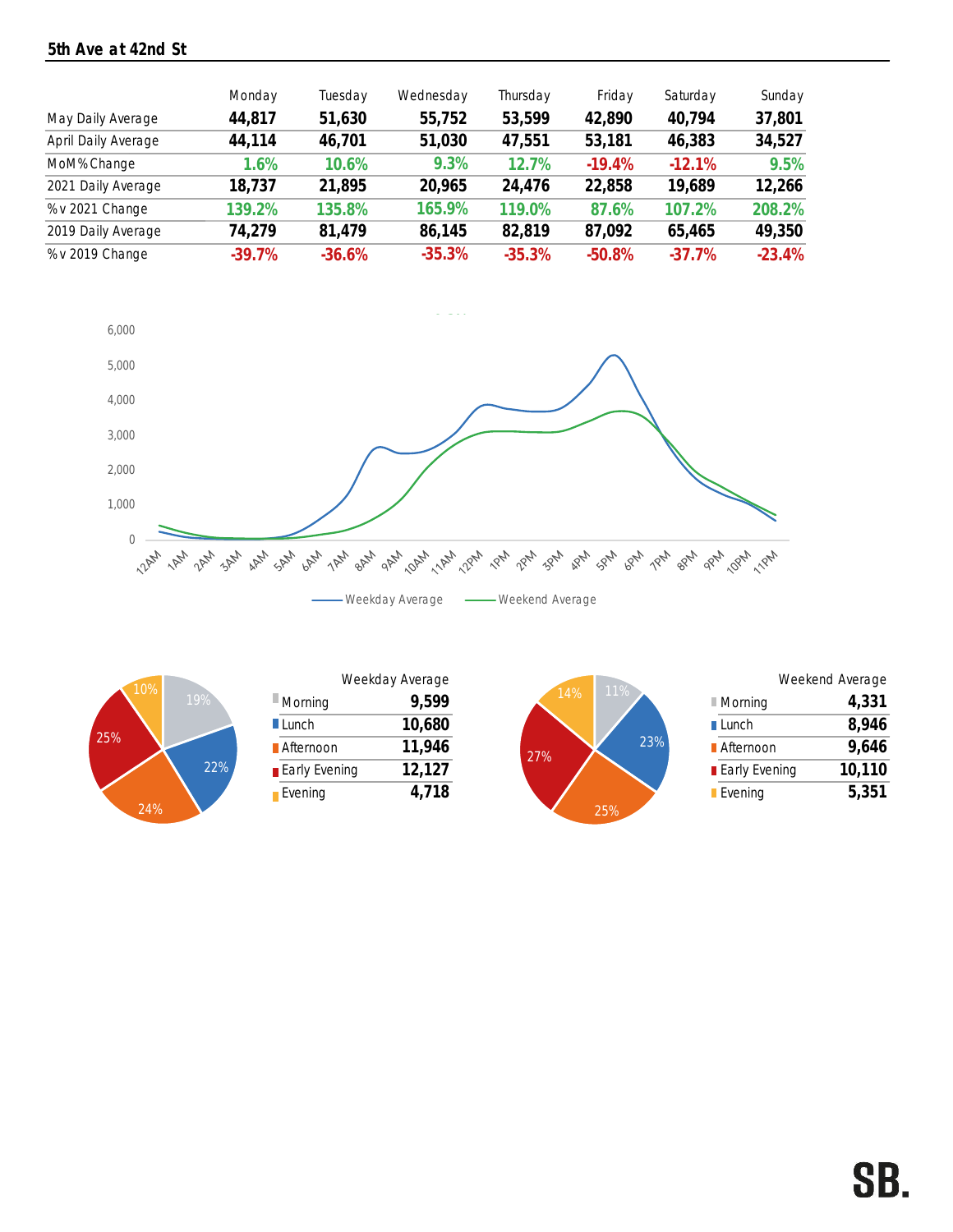### 5th Ave at 42nd St

| May Daily Average   | Monday<br>44,817 | Tuesday<br>51,630 | Wednesday<br>55,752 | Thursday<br>53,599 | Friday<br>42,890 | Saturday<br>40,794 | Sunday<br>37,801 |
|---------------------|------------------|-------------------|---------------------|--------------------|------------------|--------------------|------------------|
| April Daily Average | 44,114           | 46,701            | 51,030              | 47,551             | 53,181           | 46,383             | 34,527           |
| MoM% Change         | 1.6%             | 10.6%             | 9.3%                | 12.7%              | $-19.4%$         | $-12.1%$           | 9.5%             |
| 2021 Daily Average  | 18,737           | 21,895            | 20,965              | 24,476             | 22,858           | 19,689             | 12,266           |
| % v 2021 Change     | 139.2%           | 135.8%            | 165.9%              | 119.0%             | 87.6%            | 107.2%             | 208.2%           |
| 2019 Daily Average  | 74,279           | 81,479            | 86,145              | 82.819             | 87,092           | 65,465             | 49,350           |
| % v 2019 Change     | $-39.7%$         | $-36.6%$          | $-35.3%$            | $-35.3%$           | $-50.8%$         | $-37.7%$           | $-23.4%$         |





| 10% |     |                        | Weekday Average |            |
|-----|-----|------------------------|-----------------|------------|
|     | 19% | $\blacksquare$ Morning | 9,599           | 11%<br>14% |
|     |     | $\blacksquare$ Lunch   | 10,680          |            |
|     |     | <b>A</b> fternoon      | 11,946          | 27%        |
|     | 22% | <b>Early Evening</b>   | 12,127          |            |
|     |     | Evening                | 718             |            |



|                      | Weekend Average |        |
|----------------------|-----------------|--------|
| ■ Morning            |                 | 4,331  |
| <b>■ Lunch</b>       |                 | 8,946  |
| <b>■</b> Afternoon   |                 | 9,646  |
| <b>Early Evening</b> |                 | 10,110 |
| <b>Evening</b>       |                 | 5,351  |
|                      |                 |        |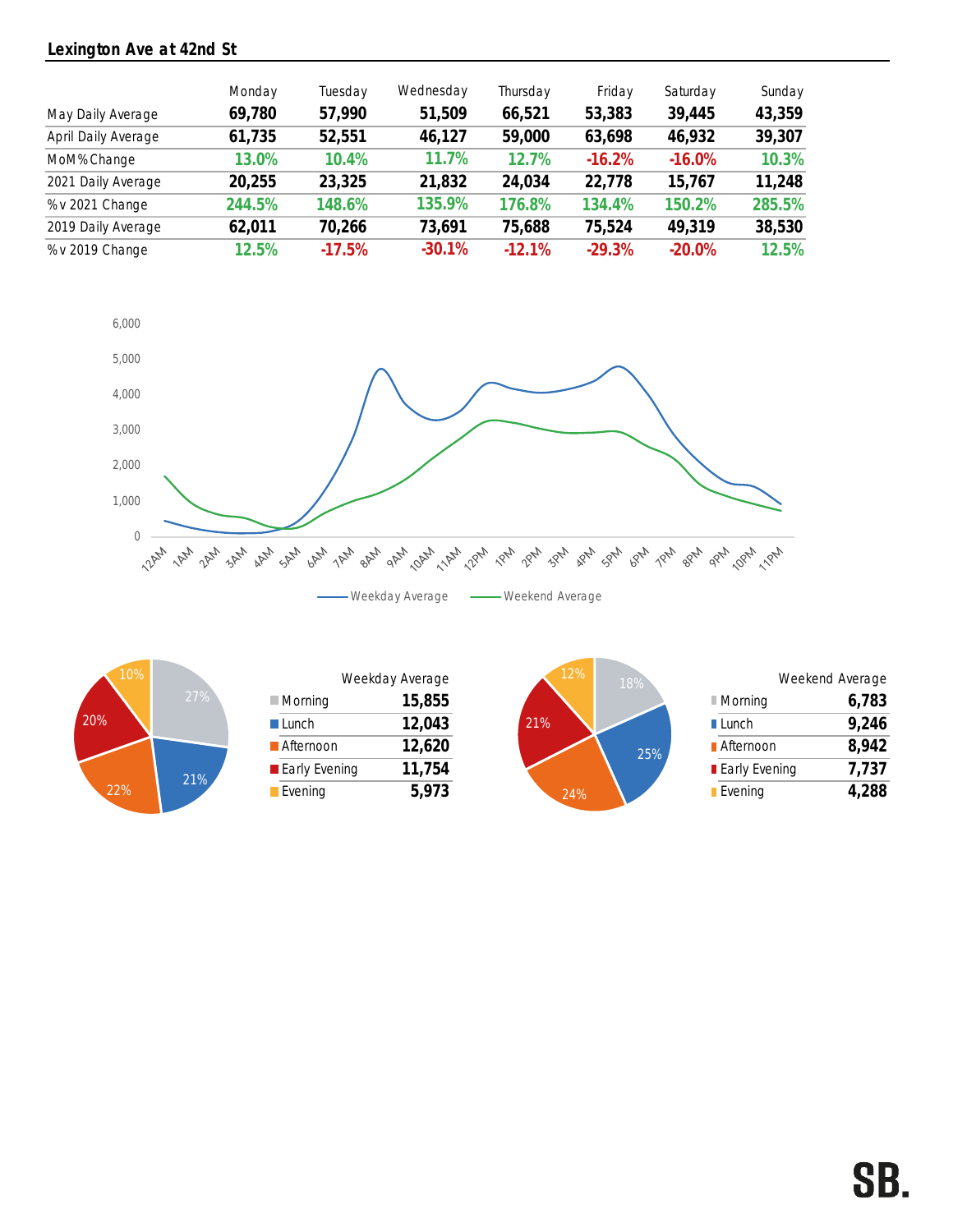### Lexington Ave at 42nd St

| May Daily Average   | Monday<br>69,780 | Tuesday<br>57,990 | Wednesday<br>51,509 | Thursday<br>66,521 | Friday<br>53,383 | Saturday<br>39,445 | Sunday<br>43,359 |
|---------------------|------------------|-------------------|---------------------|--------------------|------------------|--------------------|------------------|
|                     |                  |                   |                     |                    |                  |                    |                  |
| April Daily Average | 61,735           | 52,551            | 46,127              | 59,000             | 63,698           | 46,932             | 39,307           |
| MoM% Change         | 13.0%            | 10.4%             | 11.7%               | 12.7%              | $-16.2%$         | $-16.0%$           | 10.3%            |
| 2021 Daily Average  | 20,255           | 23,325            | 21,832              | 24,034             | 22,778           | 15,767             | 11,248           |
| % v 2021 Change     | 244.5%           | 148.6%            | 135.9%              | 176.8%             | 134.4%           | 150.2%             | 285.5%           |
| 2019 Daily Average  | 62,011           | 70,266            | 73,691              | 75,688             | 75,524           | 49.319             | 38,530           |
| % v 2019 Change     | 12.5%            | $-17.5%$          | $-30.1%$            | $-12.1%$           | $-29.3%$         | $-20.0%$           | 12.5%            |





| 10%           |        |                        | Weekday Average | 12% |
|---------------|--------|------------------------|-----------------|-----|
|               | 27%    | $\blacksquare$ Morning | 15,855          |     |
|               |        | Lunch                  | 12,043          | 21% |
|               |        | <b>Afternoon</b>       | 12,620          |     |
|               | $21\%$ | <b>Early Evening</b>   | 11,754          |     |
| $\frac{9}{6}$ |        | Evening                |                 |     |

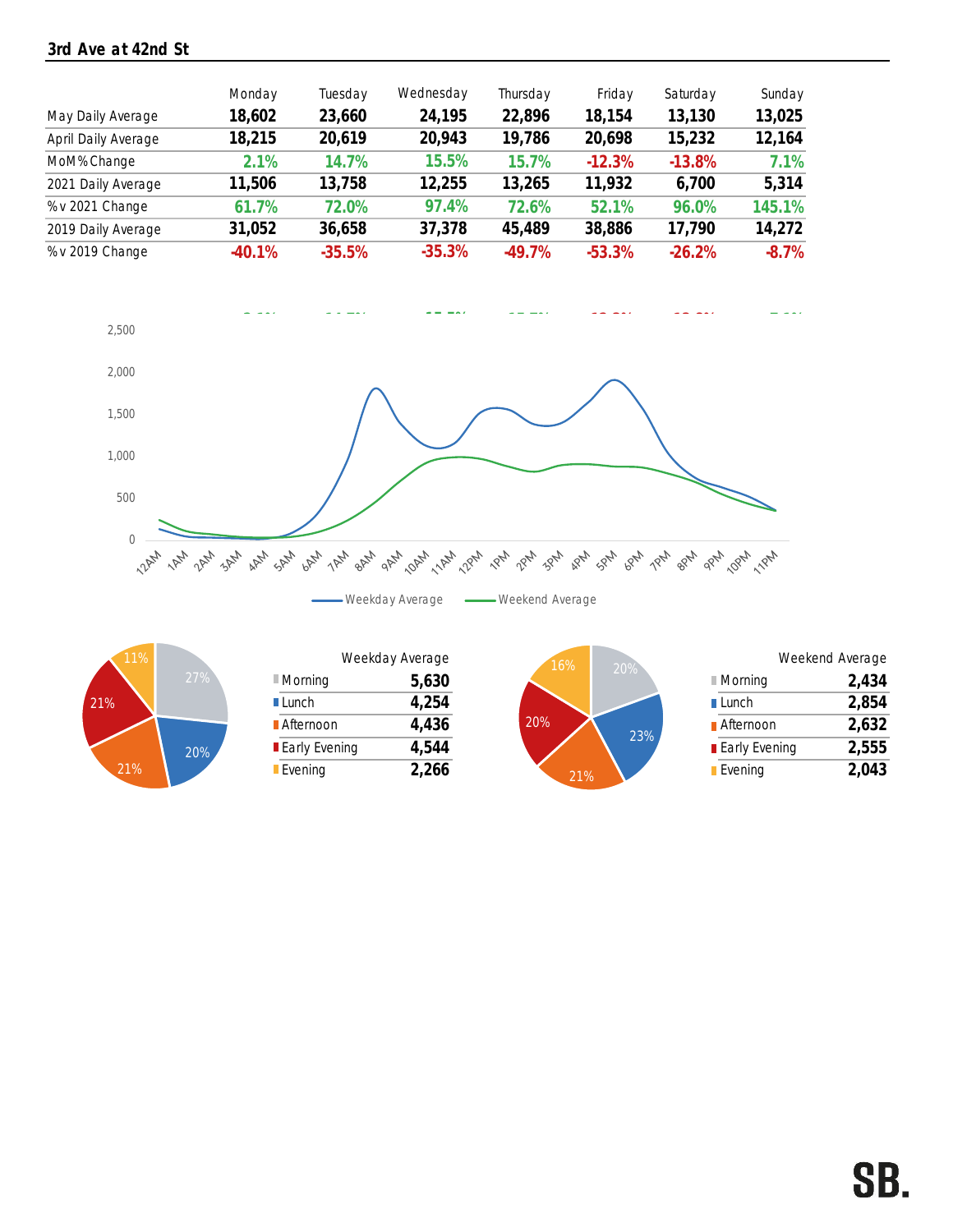### 3rd Ave at 42nd St

|                     | Monday   | Tuesday  | Wednesday | Thursday | Friday   | Saturday | Sunday  |
|---------------------|----------|----------|-----------|----------|----------|----------|---------|
| May Daily Average   | 18,602   | 23,660   | 24,195    | 22,896   | 18,154   | 13,130   | 13,025  |
| April Daily Average | 18,215   | 20,619   | 20,943    | 19,786   | 20,698   | 15,232   | 12,164  |
| MoM% Change         | 2.1%     | 14.7%    | 15.5%     | 15.7%    | $-12.3%$ | $-13.8%$ | 7.1%    |
| 2021 Daily Average  | 11,506   | 13,758   | 12,255    | 13,265   | 11,932   | 6,700    | 5,314   |
| % v 2021 Change     | 61.7%    | 72.0%    | 97.4%     | 72.6%    | 52.1%    | 96.0%    | 145.1%  |
| 2019 Daily Average  | 31,052   | 36,658   | 37,378    | 45,489   | 38,886   | 17,790   | 14,272  |
| % v 2019 Change     | $-40.1%$ | $-35.5%$ | $-35.3%$  | $-49.7%$ | $-53.3%$ | $-26.2%$ | $-8.7%$ |





| 16%<br>20%                                                          |                               |
|---------------------------------------------------------------------|-------------------------------|
| $27\%$<br>5,630<br>$\blacksquare$ Morning<br>$\blacksquare$ Morning | 2,434                         |
| 4,254<br><b>■Lunch</b><br>$\blacksquare$ Lunch                      | 2,854                         |
| 20%<br>4,436<br>Afternoon<br>23%                                    | 2,632<br><b>■</b> Afternoon   |
| 4,544<br><b>Early Evening</b><br>20%                                | 2,555<br><b>Early Evening</b> |
| 2,266<br><b>Evening</b><br><b>Evening</b>                           | 2,043                         |



|        | Weekday Average<br>16%<br>20% |       |            |                        | Weekend Average |
|--------|-------------------------------|-------|------------|------------------------|-----------------|
| $27\%$ | $\blacksquare$ Morning        | 5,630 |            | $\blacksquare$ Morning | 2,434           |
|        | <b>■</b> Lunch                | 4,254 |            | $\blacksquare$ Lunch   | 2,854           |
|        | Afternoon                     | 4,436 | 20%<br>23% | <b>■</b> Afternoon     | 2,632           |
| 20%    | <b>Early Evening</b>          | 4,544 |            | <b>Early Evening</b>   | 2,555           |
|        | Evening                       | 2,266 | 21%        | $\blacksquare$ Evening | 2,043           |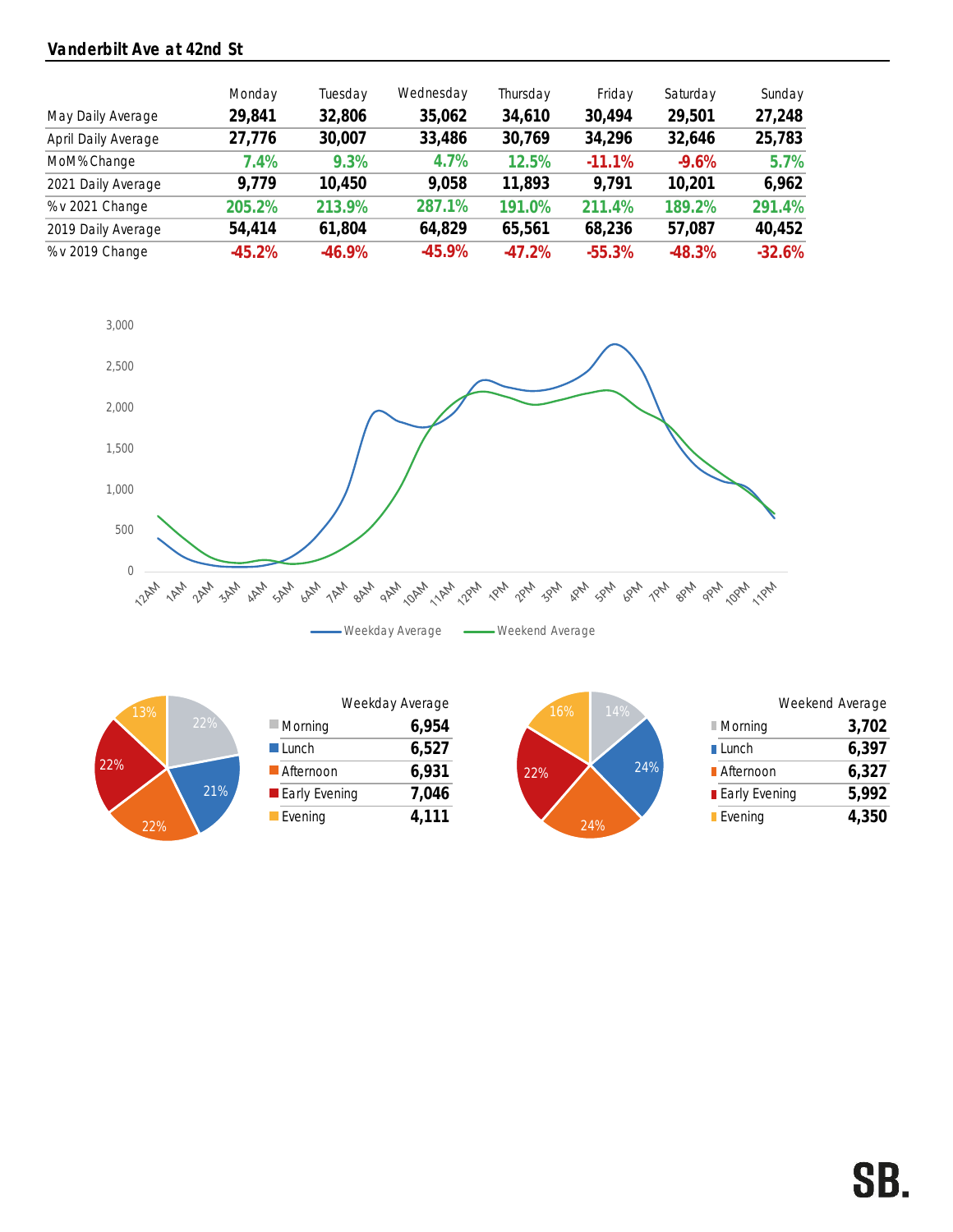### Vanderbilt Ave at 42nd St

|                     | Monday   | Tuesday  | Wednesday | Thursday  | Friday   | Saturday | Sunday   |
|---------------------|----------|----------|-----------|-----------|----------|----------|----------|
| May Daily Average   | 29,841   | 32,806   | 35,062    | 34,610    | 30,494   | 29,501   | 27,248   |
| April Daily Average | 27,776   | 30,007   | 33,486    | 30,769    | 34,296   | 32,646   | 25,783   |
| MoM% Change         | 7.4%     | 9.3%     | 4.7%      | 12.5%     | $-11.1%$ | $-9.6\%$ | 5.7%     |
| 2021 Daily Average  | 9.779    | 10,450   | 9,058     | 11,893    | 9.791    | 10,201   | 6,962    |
| % v 2021 Change     | 205.2%   | 213.9%   | 287.1%    | 191.0%    | 211.4%   | 189.2%   | 291.4%   |
| 2019 Daily Average  | 54,414   | 61,804   | 64,829    | 65,561    | 68,236   | 57,087   | 40,452   |
| % v 2019 Change     | $-45.2%$ | $-46.9%$ | $-45.9%$  | $-47.2\%$ | $-55.3%$ | $-48.3%$ | $-32.6%$ |





|                        | Weekday Average |       |
|------------------------|-----------------|-------|
| $\blacksquare$ Morning |                 | 6,954 |
| $\blacksquare$ Lunch   |                 | 6,527 |
| Afternoon              |                 | 6,931 |
| <b>Early Evening</b>   |                 | 7,046 |
| $\blacksquare$ Evening |                 | 4.111 |



|                      | Weekend Average |       |
|----------------------|-----------------|-------|
| ■ Morning            |                 | 3,702 |
| $\blacksquare$ Lunch |                 | 6,397 |
| <b>■ Afternoon</b>   |                 | 6,327 |
| ■ Early Evening      |                 | 5,992 |
| <b>Evening</b>       |                 | 4,350 |
|                      |                 |       |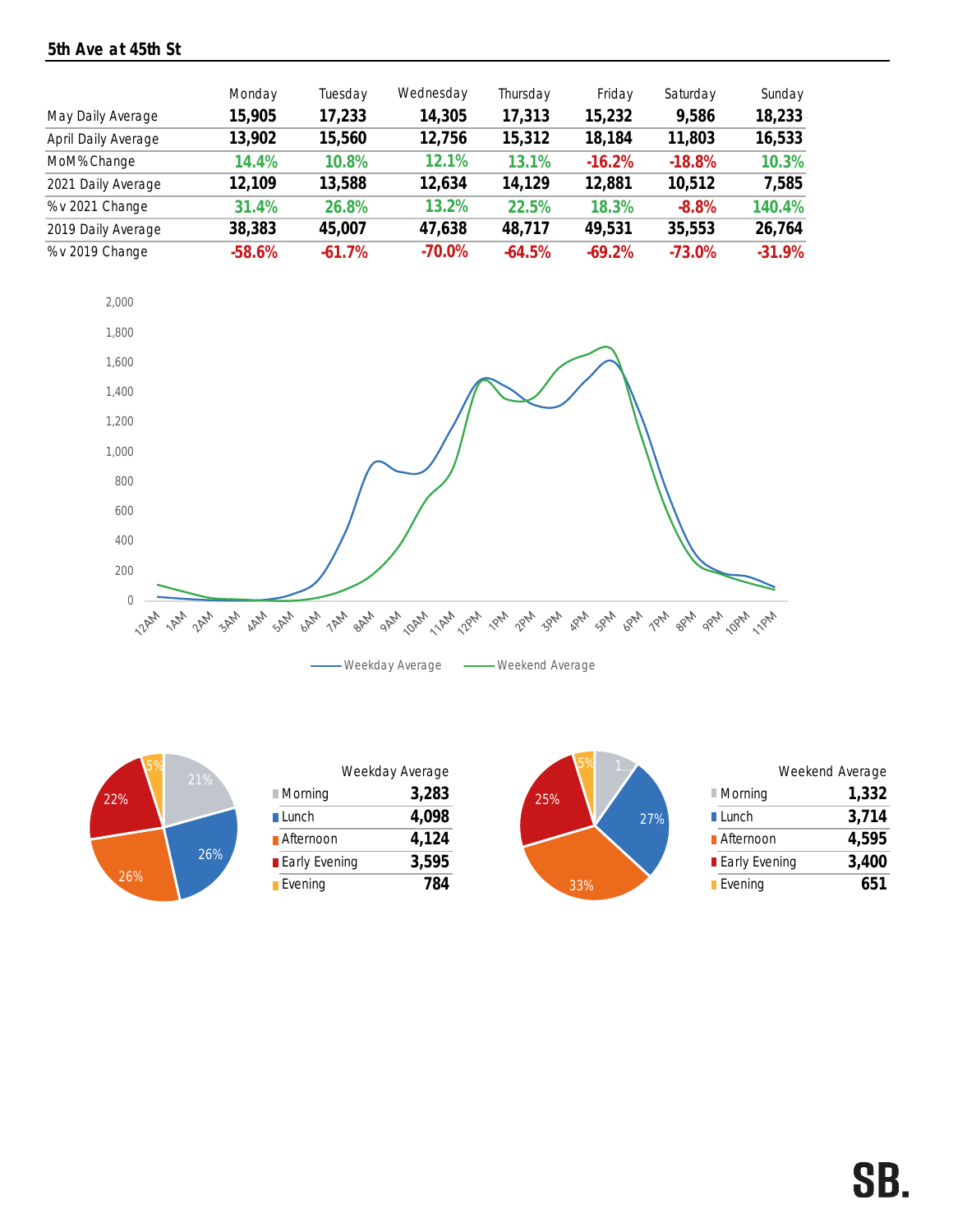### 5th Ave at 45th St

|                     | Monday   | Tuesday  | Wednesday | Thursday | Friday   | Saturday  | Sunday   |
|---------------------|----------|----------|-----------|----------|----------|-----------|----------|
| May Daily Average   | 15,905   | 17,233   | 14,305    | 17,313   | 15,232   | 9,586     | 18,233   |
| April Daily Average | 13,902   | 15,560   | 12,756    | 15,312   | 18,184   | 11,803    | 16,533   |
| MoM% Change         | 14.4%    | 10.8%    | 12.1%     | 13.1%    | $-16.2%$ | $-18.8%$  | 10.3%    |
| 2021 Daily Average  | 12,109   | 13,588   | 12,634    | 14,129   | 12,881   | 10,512    | 7,585    |
| % v 2021 Change     | 31.4%    | 26.8%    | 13.2%     | 22.5%    | 18.3%    | $-8.8%$   | 140.4%   |
| 2019 Daily Average  | 38,383   | 45,007   | 47,638    | 48,717   | 49,531   | 35,553    | 26,764   |
| % v 2019 Change     | $-58.6%$ | $-61.7%$ | $-70.0\%$ | $-64.5%$ | $-69.2%$ | $-73.0\%$ | $-31.9%$ |





| 21% |                      | Weekday Average |     |     |                        | Weekend Average |
|-----|----------------------|-----------------|-----|-----|------------------------|-----------------|
|     | Morning              | 3,283           | 25% |     | $\blacksquare$ Morning | 1,332           |
|     | $\blacksquare$ Lunch | 4,098           |     | 27% | $\blacksquare$ Lunch   | 3,714           |
|     | <b>■</b> Afternoon   | 4,124           |     |     | <b>■</b> Afternoon     | 4,595           |
| 26% | <b>Early Evening</b> | 3,595           |     |     | <b>Early Evening</b>   | 3,400           |
|     | Evening              | 784             | 33% |     | <b>Evening</b>         | 651             |



|                      | Weekend Average |
|----------------------|-----------------|
| ■ Morning            | 1,332           |
| $\blacksquare$ Lunch | 3,714           |
| <b>■ Afternoon</b>   | 4,595           |
| <b>Early Evening</b> | 3,400           |
| <b>Evening</b>       | 651             |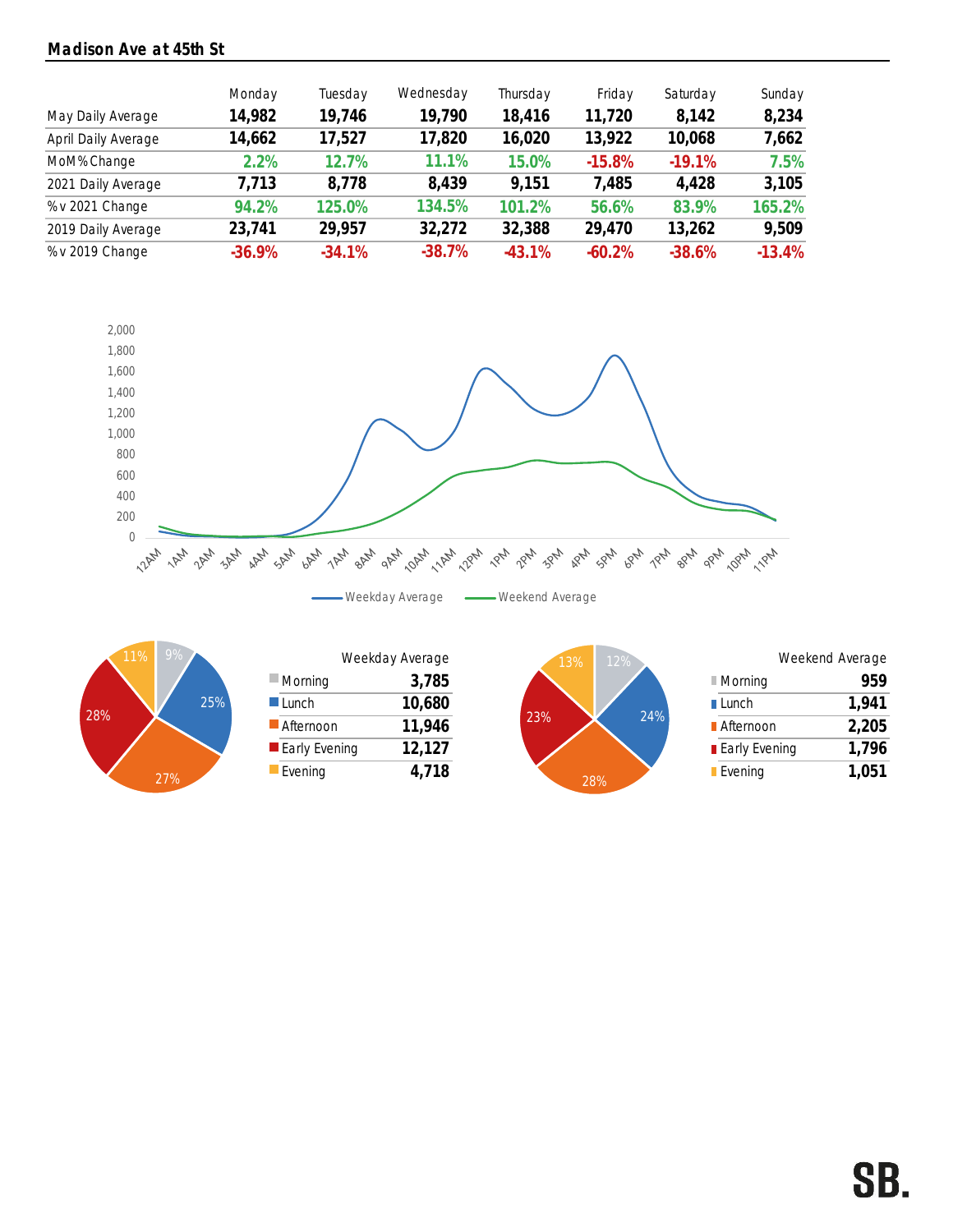### Madison Ave at 45th St

|                     | Monday   | Tuesday  | Wednesday | Thursday | Friday   | Saturday | Sunday   |
|---------------------|----------|----------|-----------|----------|----------|----------|----------|
| May Daily Average   | 14,982   | 19,746   | 19,790    | 18,416   | 11,720   | 8,142    | 8,234    |
| April Daily Average | 14,662   | 17,527   | 17,820    | 16,020   | 13,922   | 10,068   | 7,662    |
| MoM% Change         | 2.2%     | 12.7%    | 11.1%     | 15.0%    | $-15.8%$ | $-19.1%$ | 7.5%     |
| 2021 Daily Average  | 7,713    | 8,778    | 8,439     | 9,151    | 7,485    | 4,428    | 3,105    |
| % v 2021 Change     | 94.2%    | 125.0%   | 134.5%    | 101.2%   | 56.6%    | 83.9%    | 165.2%   |
| 2019 Daily Average  | 23,741   | 29,957   | 32,272    | 32,388   | 29,470   | 13,262   | 9,509    |
| % v 2019 Change     | $-36.9%$ | $-34.1%$ | $-38.7%$  | $-43.1%$ | $-60.2%$ | $-38.6%$ | $-13.4%$ |





| 11% | 9%  |                        | Weekday Average | 13%  | 12% |
|-----|-----|------------------------|-----------------|------|-----|
|     |     | $\blacksquare$ Morning | 3,785           |      |     |
|     | 25% | $\blacksquare$ Lunch   | 10,680          |      |     |
|     |     | Afternoon              | 11,946          | 23%  |     |
|     |     | <b>Early Evening</b>   | 12,127          |      |     |
|     | 27% | Evening                | 4,718           | 000' |     |



|                      | Weekend Average |       |
|----------------------|-----------------|-------|
| ■ Morning            |                 | 959   |
| $\blacksquare$ Lunch |                 | 1,941 |
| <b>■ Afternoon</b>   |                 | 2,205 |
| ■ Early Evening      |                 | 1,796 |
| <b>Evening</b>       |                 | 1,051 |
|                      |                 |       |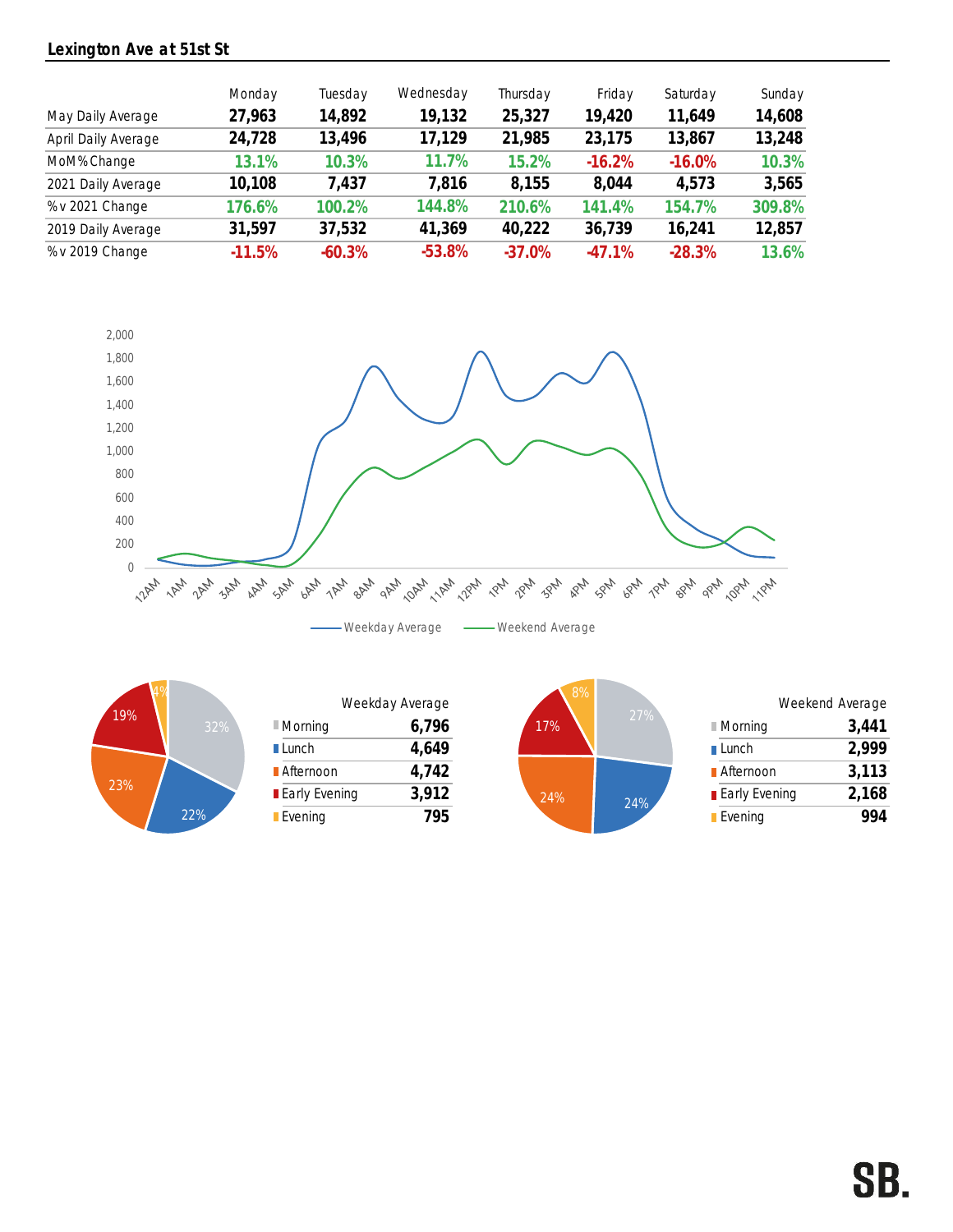### Lexington Ave at 51st St

| May Daily Average   | Monday<br>27,963 | Tuesday<br>14,892 | Wednesday<br>19,132 | Thursday<br>25,327 | Friday<br>19,420 | Saturday<br>11,649 | Sunday<br>14,608 |
|---------------------|------------------|-------------------|---------------------|--------------------|------------------|--------------------|------------------|
| April Daily Average | 24,728           | 13,496            | 17,129              | 21,985             | 23,175           | 13,867             | 13,248           |
| MoM% Change         | 13.1%            | 10.3%             | 11.7%               | 15.2%              | $-16.2%$         | $-16.0\%$          | 10.3%            |
| 2021 Daily Average  | 10,108           | 7,437             | 7,816               | 8,155              | 8,044            | 4,573              | 3,565            |
| % v 2021 Change     | 176.6%           | 100.2%            | 144.8%              | 210.6%             | 141.4%           | 154.7%             | 309.8%           |
| 2019 Daily Average  | 31,597           | 37,532            | 41,369              | 40,222             | 36,739           | 16,241             | 12,857           |
| % v 2019 Change     | $-11.5%$         | $-60.3%$          | $-53.8%$            | $-37.0%$           | $-47.1%$         | $-28.3%$           | 13.6%            |





|                        | Weekday Average |
|------------------------|-----------------|
| $\blacksquare$ Morning | 6,796           |
| <b>∎Lunch</b>          | 4,649           |
| <b>■ Afternoon</b>     | 4,742           |
| <b>Early Evening</b>   | 3,912           |
| Evening                | 795             |

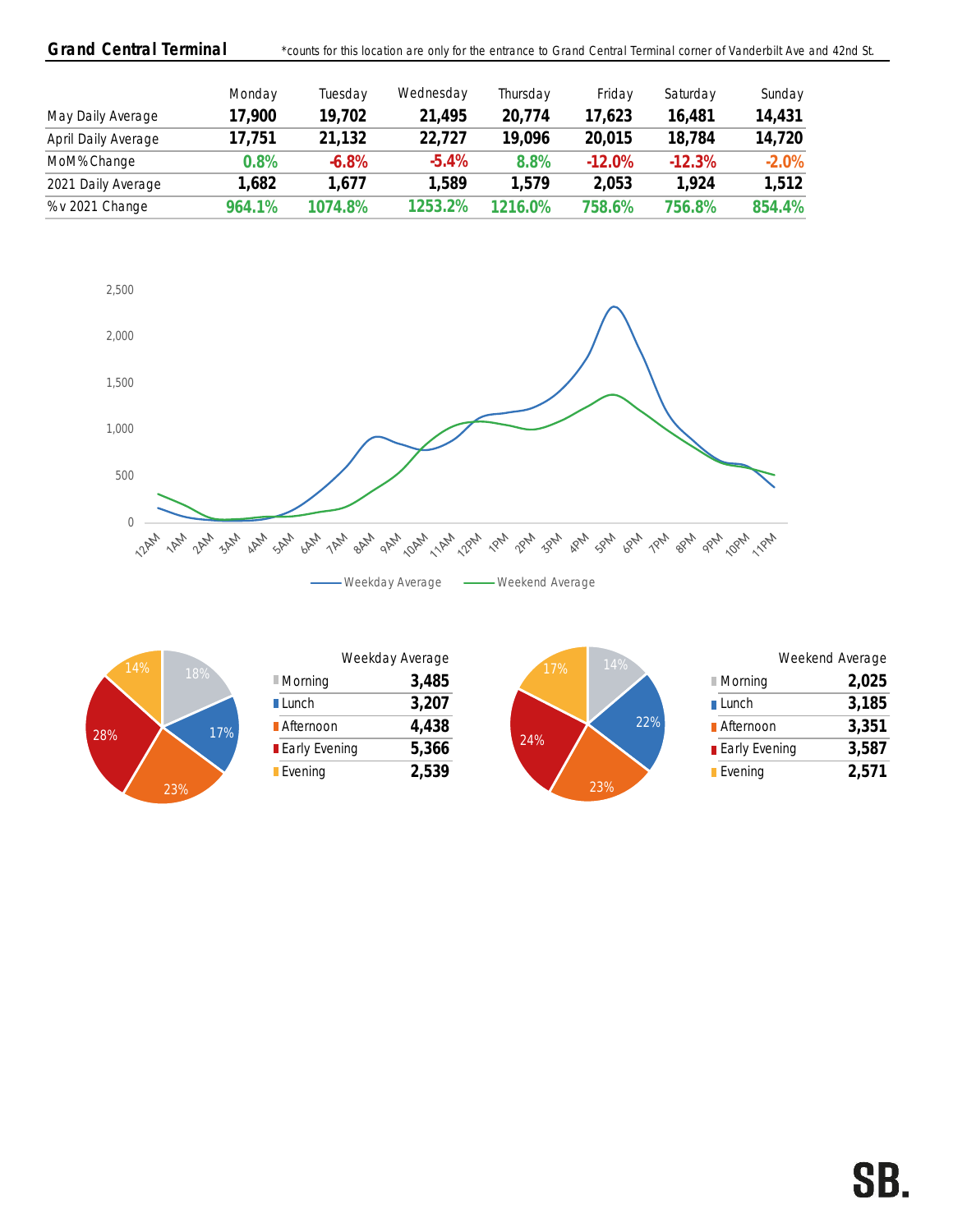| <b>Grand Central Terminal</b> |        | *counts for this location are only for the entrance to Grand Central Terminal corner of Vanderbilt Ave and 42nd St. |           |          |          |          |         |  |
|-------------------------------|--------|---------------------------------------------------------------------------------------------------------------------|-----------|----------|----------|----------|---------|--|
|                               | Monday | Tuesday                                                                                                             | Wednesday | Thursday | Friday   | Saturday | Sunday  |  |
| May Daily Average             | 17,900 | 19,702                                                                                                              | 21,495    | 20,774   | 17,623   | 16,481   | 14,431  |  |
| April Daily Average           | 17,751 | 21,132                                                                                                              | 22,727    | 19,096   | 20,015   | 18,784   | 14,720  |  |
| MoM% Change                   | 0.8%   | $-6.8%$                                                                                                             | $-5.4\%$  | 8.8%     | $-12.0%$ | $-12.3%$ | $-2.0%$ |  |
| 2021 Daily Average            | 1,682  | 1.677                                                                                                               | 1,589     | .579     | 2,053    | 1.924    | 1,512   |  |
| % v 2021 Change               | 964.1% | 1074.8%                                                                                                             | 1253.2%   | 1216.0%  | 758.6%   | 756.8%   | 854.4%  |  |





|                        |       | 14%<br>17%           |
|------------------------|-------|----------------------|
| $\blacksquare$ Morning | 3,485 |                      |
| <b>■Lunch</b>          | 3,207 |                      |
| <b>Afternoon</b>       | 4,438 |                      |
| <b>Early Evening</b>   | 5,366 | 24%                  |
| Evening                | 2,539 | $\sim$ $\sim$ $\sim$ |
|                        |       | Weekday Average      |

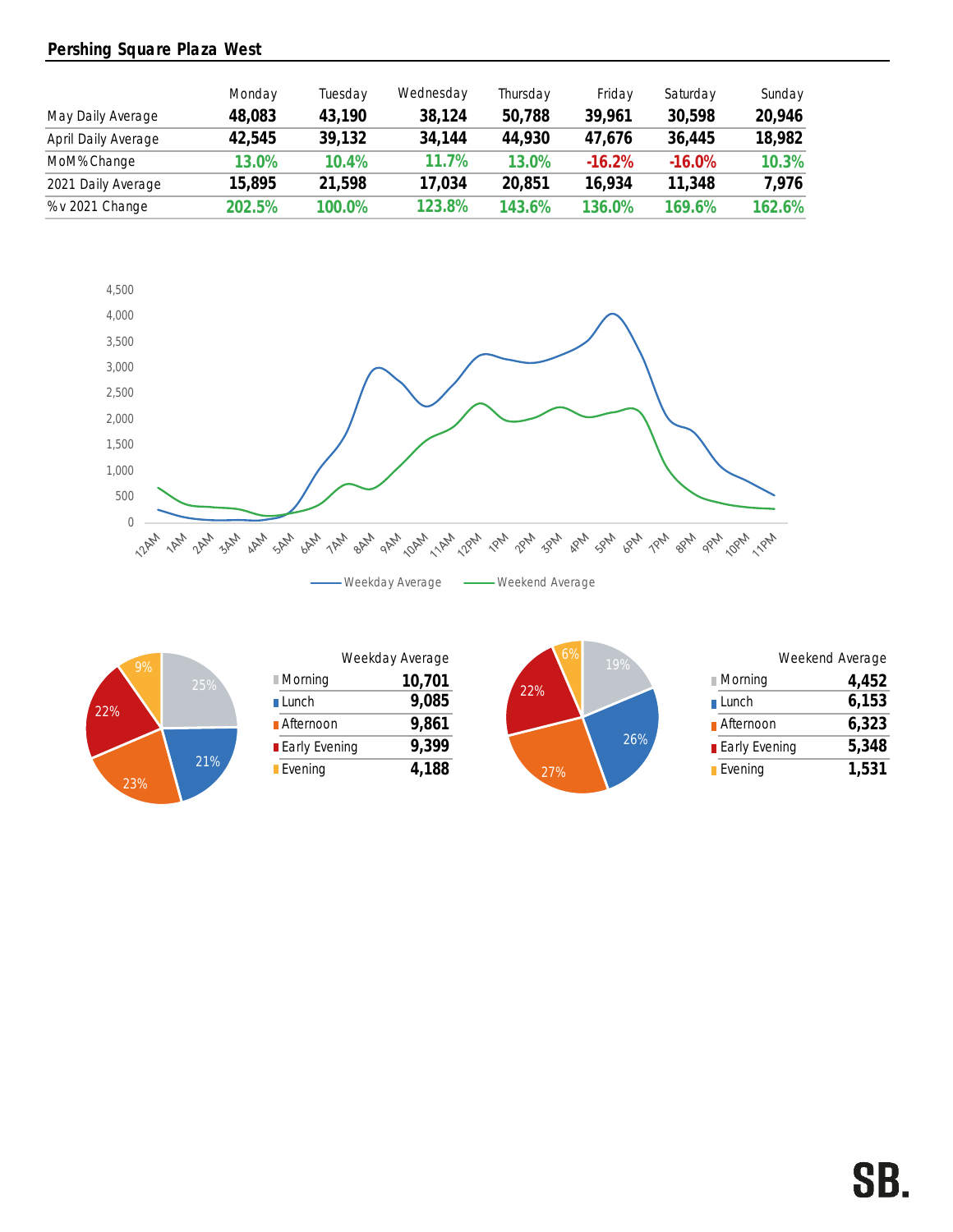### Pershing Square Plaza West

|                     | Monday | Tuesday  | Wednesday | Thursday | Friday   | Saturday  | Sunday |
|---------------------|--------|----------|-----------|----------|----------|-----------|--------|
| May Daily Average   | 48,083 | 43,190   | 38,124    | 50,788   | 39,961   | 30,598    | 20,946 |
| April Daily Average | 42,545 | 39,132   | 34,144    | 44,930   | 47,676   | 36,445    | 18,982 |
| MoM% Change         | 13.0%  | $10.4\%$ | 11.7%     | 13.0%    | $-16.2%$ | $-16.0\%$ | 10.3%  |
| 2021 Daily Average  | 15,895 | 21.598   | 17.034    | 20,851   | 16.934   | 11,348    | 7,976  |
| % v 2021 Change     | 202.5% | 100.0%   | 123.8%    | 143.6%   | 136.0%   | 169.6%    | 162.6% |





| 9%- |                      | Weekday Average      |        |     | 19%                  | Weekend Average |       |
|-----|----------------------|----------------------|--------|-----|----------------------|-----------------|-------|
|     | 25%                  | ∎Morning             | 10,701 |     |                      | ∥ Morning       | 4,452 |
|     |                      | $\blacksquare$ Lunch | 9,085  | 22% |                      | ∎ Lunch         | 6,153 |
|     | <b>■</b> Afternoon   | 9,861                |        |     | <b>■</b> Afternoon   | 6,323           |       |
|     | <b>Early Evening</b> | 9,399                |        | 26% | <b>Early Evening</b> | 5,348           |       |
|     | 21%                  | Evening              | 4,188  | 27% |                      | <b>Evening</b>  | 1,531 |
|     |                      |                      |        |     |                      |                 |       |



|     | Weekday Average | .6% | 19% |                        | Weekend Average |
|-----|-----------------|-----|-----|------------------------|-----------------|
|     | 10,701          |     |     | <b>■ Morning</b>       | 4,452           |
|     | 9,085           | 22% |     | $\blacksquare$ Lunch   | 6,153           |
|     | 9,861           |     |     | <b>■</b> Afternoon     | 6,323           |
| ing | 9,399           |     | 26% | <b>Early Evening</b>   | 5,348           |
|     | 4,188           | 27% |     | $\blacksquare$ Evening | 1,531           |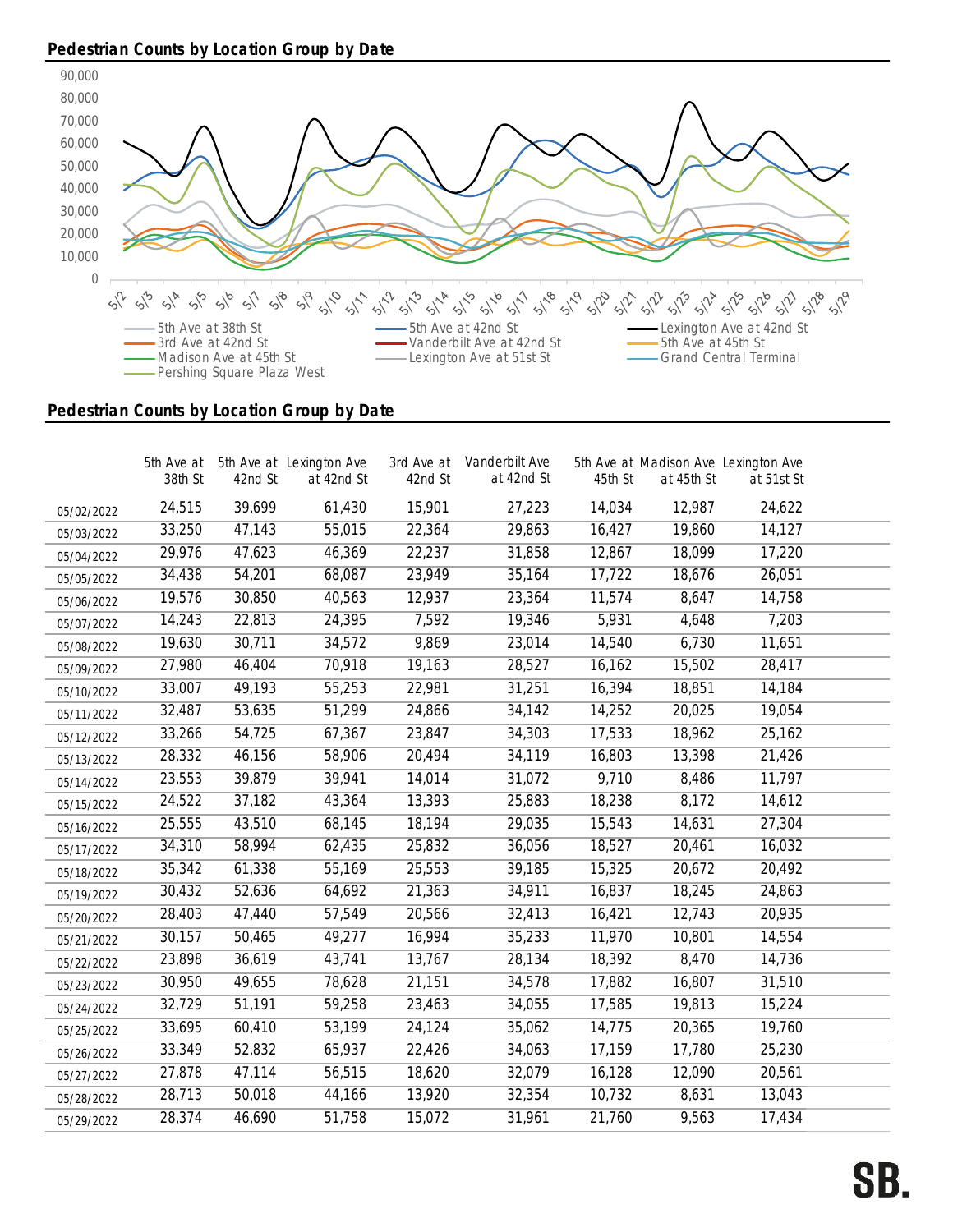## Pedestrian Counts by Location Group by Date



### Pedestrian Counts by Location Group by Date

|            | 38th St | 42nd St | 5th Ave at 5th Ave at Lexington Ave<br>at 42nd St | 42nd St | 3rd Ave at Vanderbilt Ave<br>at 42nd St | 45th St | at 45th St | 5th Ave at Madison Ave Lexington Ave<br>at 51st St |  |
|------------|---------|---------|---------------------------------------------------|---------|-----------------------------------------|---------|------------|----------------------------------------------------|--|
| 05/02/2022 | 24,515  | 39,699  | 61,430                                            | 15,901  | 27,223                                  | 14,034  | 12,987     | 24,622                                             |  |
| 05/03/2022 | 33,250  | 47,143  | 55,015                                            | 22,364  | 29,863                                  | 16,427  | 19,860     | 14,127                                             |  |
| 05/04/2022 | 29,976  | 47,623  | 46,369                                            | 22,237  | 31,858                                  | 12,867  | 18,099     | 17,220                                             |  |
| 05/05/2022 | 34,438  | 54,201  | 68,087                                            | 23,949  | 35,164                                  | 17,722  | 18,676     | 26,051                                             |  |
| 05/06/2022 | 19,576  | 30,850  | 40,563                                            | 12,937  | 23,364                                  | 11,574  | 8,647      | 14,758                                             |  |
| 05/07/2022 | 14,243  | 22,813  | 24,395                                            | 7,592   | 19,346                                  | 5,931   | 4,648      | 7,203                                              |  |
| 05/08/2022 | 19,630  | 30,711  | 34,572                                            | 9,869   | 23,014                                  | 14,540  | 6,730      | 11,651                                             |  |
| 05/09/2022 | 27,980  | 46,404  | 70,918                                            | 19,163  | 28,527                                  | 16,162  | 15,502     | 28,417                                             |  |
| 05/10/2022 | 33,007  | 49,193  | 55,253                                            | 22,981  | 31,251                                  | 16,394  | 18,851     | 14,184                                             |  |
| 05/11/2022 | 32,487  | 53,635  | 51,299                                            | 24,866  | 34,142                                  | 14,252  | 20,025     | 19,054                                             |  |
| 05/12/2022 | 33,266  | 54,725  | 67,367                                            | 23,847  | 34,303                                  | 17,533  | 18,962     | 25,162                                             |  |
| 05/13/2022 | 28,332  | 46,156  | 58,906                                            | 20,494  | 34,119                                  | 16,803  | 13,398     | 21,426                                             |  |
| 05/14/2022 | 23,553  | 39,879  | 39,941                                            | 14,014  | 31,072                                  | 9,710   | 8,486      | 11,797                                             |  |
| 05/15/2022 | 24,522  | 37,182  | 43,364                                            | 13,393  | 25,883                                  | 18,238  | 8,172      | 14,612                                             |  |
| 05/16/2022 | 25,555  | 43,510  | 68,145                                            | 18,194  | 29,035                                  | 15,543  | 14,631     | 27,304                                             |  |
| 05/17/2022 | 34,310  | 58,994  | 62,435                                            | 25,832  | 36,056                                  | 18,527  | 20,461     | 16,032                                             |  |
| 05/18/2022 | 35,342  | 61,338  | 55,169                                            | 25,553  | 39,185                                  | 15,325  | 20,672     | 20,492                                             |  |
| 05/19/2022 | 30,432  | 52,636  | 64,692                                            | 21,363  | 34,911                                  | 16,837  | 18,245     | 24,863                                             |  |
| 05/20/2022 | 28,403  | 47,440  | 57,549                                            | 20,566  | 32,413                                  | 16,421  | 12,743     | 20,935                                             |  |
| 05/21/2022 | 30,157  | 50,465  | 49,277                                            | 16,994  | 35,233                                  | 11,970  | 10,801     | 14,554                                             |  |
| 05/22/2022 | 23,898  | 36,619  | 43,741                                            | 13,767  | 28,134                                  | 18,392  | 8,470      | 14,736                                             |  |
| 05/23/2022 | 30,950  | 49,655  | 78,628                                            | 21,151  | 34,578                                  | 17,882  | 16,807     | 31,510                                             |  |
| 05/24/2022 | 32,729  | 51,191  | 59,258                                            | 23,463  | 34,055                                  | 17,585  | 19,813     | 15,224                                             |  |
| 05/25/2022 | 33,695  | 60,410  | 53,199                                            | 24,124  | 35,062                                  | 14,775  | 20,365     | 19,760                                             |  |
| 05/26/2022 | 33,349  | 52,832  | 65,937                                            | 22,426  | 34,063                                  | 17,159  | 17,780     | 25,230                                             |  |
| 05/27/2022 | 27,878  | 47,114  | 56,515                                            | 18,620  | 32,079                                  | 16,128  | 12,090     | 20,561                                             |  |
| 05/28/2022 | 28,713  | 50,018  | 44,166                                            | 13,920  | 32,354                                  | 10,732  | 8,631      | 13,043                                             |  |
| 05/29/2022 | 28,374  | 46,690  | 51,758                                            | 15,072  | 31,961                                  | 21,760  | 9,563      | 17,434                                             |  |